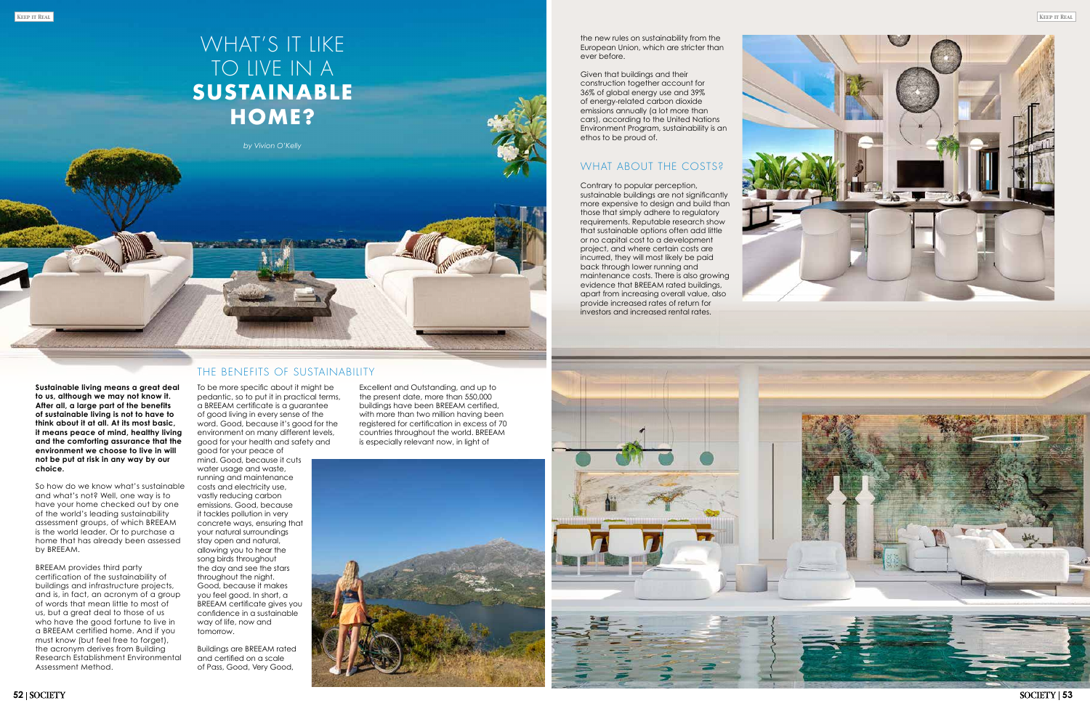*by Vivion O'Kelly* 

**53**

**Sustainable living means a great deal to us, although we may not know it. After all, a large part of the benefits of sustainable living is not to have to think about it at all. At its most basic, it means peace of mind, healthy living and the comforting assurance that the environment we choose to live in will not be put at risk in any way by our choice.**

So how do we know what's sustainable and what's not? Well, one way is to have your home checked out by one of the world's leading sustainability assessment groups, of which BREEAM is the world leader. Or to purchase a home that has already been assessed by BREEAM.

BREEAM provides third party certification of the sustainability of buildings and infrastructure projects, and is, in fact, an acronym of a group of words that mean little to most of us, but a great deal to those of us who have the good fortune to live in a BREEAM certified home. And if you must know (but feel free to forget), the acronym derives from Building Research Establishment Environmental Assessment Method.

## WHAT'S IT LIKE TO LIVE IN A **SUSTA INABLE HOME?**

#### THE BENEFITS OF SUSTAINABILITY

To be more specific about it might be pedantic, so to put it in practical terms, a BREEAM certificate is a guarantee of good living in every sense of the word. Good, because it's good for the environment on many different levels, good for your health and safety and good for your peace of mind. Good, because it cuts water usage and waste,

running and maintenance costs and electricity use, vastly reducing carbon emissions. Good, because it tackles pollution in very concrete ways, ensuring that your natural surroundings stay open and natural, allowing you to hear the song birds throughout the day and see the stars throughout the night. Good, because it makes you feel good. In short, a BREEAM certificate gives you confidence in a sustainable way of life, now and tomorrow.

Buildings are BREEAM rated and certified on a scale of Pass, Good, Very Good,

the new rules on sustainability from the

ethos to be proud of.



Excellent and Outstanding, and up to the present date, more than 550,000 buildings have been BREEAM certified, with more than two million having been registered for certification in excess of 70 countries throughout the world. BREEAM is especially relevant now, in light of